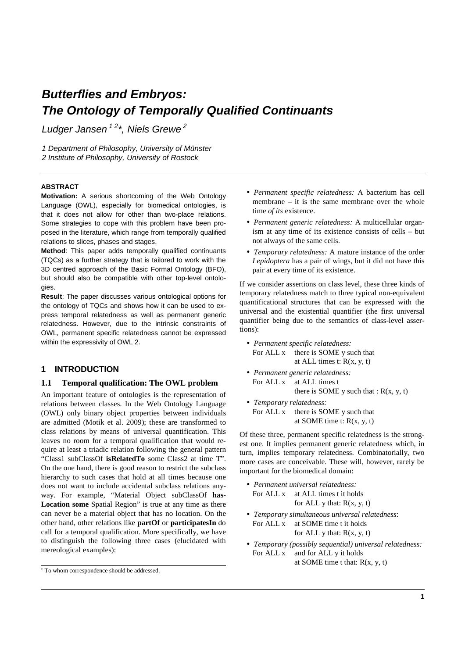# **Butterflies and Embryos: The Ontology of Temporally Qualified Continuants**

Ludger Jansen<sup>12\*</sup>, Niels Grewe<sup>2</sup>

1 Department of Philosophy, University of Münster 2 Institute of Philosophy, University of Rostock

#### **ABSTRACT**

**Motivation:** A serious shortcoming of the Web Ontology Language (OWL), especially for biomedical ontologies, is that it does not allow for other than two-place relations. Some strategies to cope with this problem have been proposed in the literature, which range from temporally qualified relations to slices, phases and stages.

**Method**: This paper adds temporally qualified continuants (TQCs) as a further strategy that is tailored to work with the 3D centred approach of the Basic Formal Ontology (BFO), but should also be compatible with other top-level ontologies.

**Result**: The paper discusses various ontological options for the ontology of TQCs and shows how it can be used to express temporal relatedness as well as permanent generic relatedness. However, due to the intrinsic constraints of OWL, permanent specific relatedness cannot be expressed within the expressivity of OWL 2.

### **1 INTRODUCTION**

#### **1.1 Temporal qualification: The OWL problem**

An important feature of ontologies is the representation of relations between classes. In the Web Ontology Language (OWL) only binary object properties between individuals are admitted (Motik et al. 2009); these are transformed to class relations by means of universal quantification. This leaves no room for a temporal qualification that would require at least a triadic relation following the general pattern "Class1 subClassOf **isRelatedTo** some Class2 at time T". On the one hand, there is good reason to restrict the subclass hierarchy to such cases that hold at all times because one does not want to include accidental subclass relations anyway. For example, "Material Object subClassOf **has-Location some** Spatial Region" is true at any time as there can never be a material object that has no location. On the other hand, other relations like **partOf** or **participatesIn** do call for a temporal qualification. More specifically, we have to distinguish the following three cases (elucidated with mereological examples):

- *Permanent specific relatedness:* A bacterium has cell membrane – it is the same membrane over the whole time *of its* existence.
- *Permanent generic relatedness:* A multicellular organism at any time of its existence consists of cells – but not always of the same cells.
- *Temporary relatedness:* A mature instance of the order *Lepidoptera* has a pair of wings, but it did not have this pair at every time of its existence.

If we consider assertions on class level, these three kinds of temporary relatedness match to three typical non-equivalent quantificational structures that can be expressed with the universal and the existential quantifier (the first universal quantifier being due to the semantics of class-level assertions):

- *Permanent specific relatedness:* For ALL x there is SOME y such that at ALL times t:  $R(x, y, t)$
- *Permanent generic relatedness:* For ALL x at ALL times t there is SOME y such that :  $R(x, y, t)$
- *Temporary relatedness:* For ALL x there is SOME y such that at SOME time t:  $R(x, y, t)$

Of these three, permanent specific relatedness is the strongest one. It implies permanent generic relatedness which, in turn, implies temporary relatedness. Combinatorially, two more cases are conceivable. These will, however, rarely be important for the biomedical domain:

- *Permanent universal relatedness:* For ALL x at ALL times t it holds for ALL  $y$  that:  $R(x, y, t)$
- *Temporary simultaneous universal relatedness*: For ALL x at SOME time t it holds for ALL y that:  $R(x, y, t)$
- *Temporary (possibly sequential) universal relatedness:* For ALL x and for ALL y it holds at SOME time t that:  $R(x, y, t)$

<sup>\*</sup> To whom correspondence should be addressed.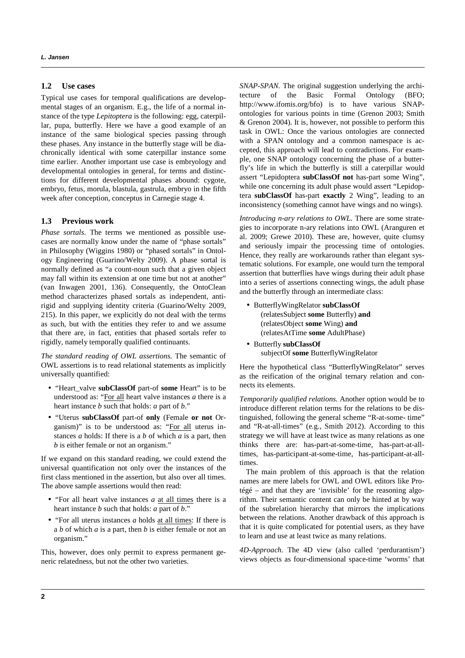#### **1.2 Use cases**

Typical use cases for temporal qualifications are developmental stages of an organism. E.g., the life of a normal instance of the type *Lepitoptera* is the following: egg, caterpillar, pupa, butterfly. Here we have a good example of an instance of the same biological species passing through these phases. Any instance in the butterfly stage will be diachronically identical with some caterpillar instance some time earlier. Another important use case is embryology and developmental ontologies in general, for terms and distinctions for different developmental phases abound: cygote, embryo, fetus, morula, blastula, gastrula, embryo in the fifth week after conception, conceptus in Carnegie stage 4.

#### **1.3 Previous work**

*Phase sortals.* The terms we mentioned as possible usecases are normally know under the name of "phase sortals" in Philosophy (Wiggins 1980) or "phased sortals" in Ontology Engineering (Guarino/Welty 2009). A phase sortal is normally defined as "a count-noun such that a given object may fall within its extension at one time but not at another" (van Inwagen 2001, 136). Consequently, the OntoClean method characterizes phased sortals as independent, antirigid and supplying identity criteria (Guarino/Welty 2009, 215). In this paper, we explicitly do not deal with the terms as such, but with the entities they refer to and we assume that there are, in fact, entities that phased sortals refer to rigidly, namely temporally qualified continuants.

*The standard reading of OWL assertions.* The semantic of OWL assertions is to read relational statements as implicitly universally quantified:

- "Heart\_valve **subClassOf** part-of **some** Heart" is to be understood as: "For all heart valve instances *a* there is a heart instance *b* such that holds: *a* part of *b*."
- "Uterus **subClassOf** part-of **only** (Female **or not** Organism)" is to be understood as: "For all uterus instances *a* holds: If there is a *b* of which *a* is a part, then *b* is either female or not an organism."

If we expand on this standard reading, we could extend the universal quantification not only over the instances of the first class mentioned in the assertion, but also over all times. The above sample assertions would then read:

- "For all heart valve instances *a* at all times there is a heart instance *b* such that holds: *a* part of *b*."
- "For all uterus instances *a* holds at all times: If there is a *b* of which *a* is a part, then *b* is either female or not an organism."

This, however, does only permit to express permanent generic relatedness, but not the other two varieties.

*SNAP-SPAN.* The original suggestion underlying the architecture of the Basic Formal Ontology (BFO; http://www.ifomis.org/bfo) is to have various SNAPontologies for various points in time (Grenon 2003; Smith & Grenon 2004). It is, however, not possible to perform this task in OWL: Once the various ontologies are connected with a SPAN ontology and a common namespace is accepted, this approach will lead to contradictions. For example, one SNAP ontology concerning the phase of a butterfly's life in which the butterfly is still a caterpillar would assert "Lepidoptera **subClassOf not** has-part some Wing", while one concerning its adult phase would assert "Lepidoptera **subClassOf** has-part **exactly** 2 Wing", leading to an inconsistency (something cannot have wings and no wings).

*Introducing n-ary relations to OWL.* There are some strategies to incorporate n-ary relations into OWL (Aranguren et al. 2009; Grewe 2010). These are, however, quite clumsy and seriously impair the processing time of ontologies. Hence, they really are workarounds rather than elegant systematic solutions. For example, one would turn the temporal assertion that butterflies have wings during their adult phase into a series of assertions connecting wings, the adult phase and the butterfly through an intermediate class:

- ButterflyWingRelator **subClassOf** (relatesSubject **some** Butterfly) **and** (relatesObject **some** Wing) **and** (relatesAtTime **some** AdultPhase)
- Butterfly **subClassOf** subjectOf **some** ButterflyWingRelator

Here the hypothetical class "ButterflyWingRelator" serves as the reification of the original ternary relation and connects its elements.

*Temporarily qualified relations.* Another option would be to introduce different relation terms for the relations to be distinguished, following the general scheme "R-at-some- time" and "R-at-all-times" (e.g., Smith 2012). According to this strategy we will have at least twice as many relations as one thinks there are: has-part-at-some-time, has-part-at-alltimes, has-participant-at-some-time, has-participant-at-alltimes.

The main problem of this approach is that the relation names are mere labels for OWL and OWL editors like Protégé – and that they are 'invisible' for the reasoning algorithm. Their semantic content can only be hinted at by way of the subrelation hierarchy that mirrors the implications between the relations. Another drawback of this approach is that it is quite complicated for potential users, as they have to learn and use at least twice as many relations.

*4D-Approach.* The 4D view (also called 'perdurantism') views objects as four-dimensional space-time 'worms' that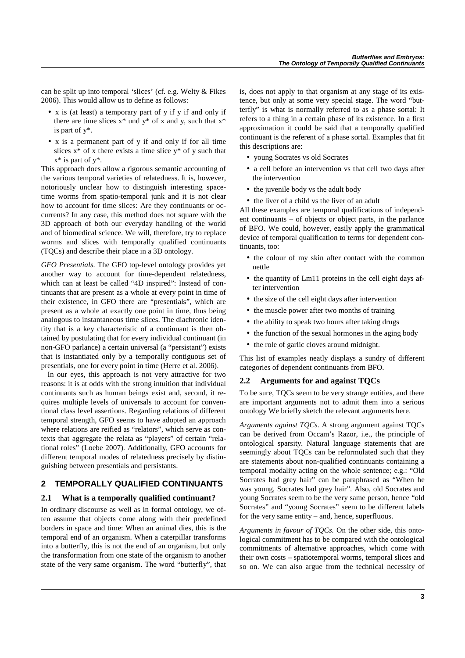can be split up into temporal 'slices' (cf. e.g. Welty & Fikes 2006). This would allow us to define as follows:

- x is (at least) a temporary part of y if y if and only if there are time slices  $x^*$  und  $y^*$  of x and y, such that  $x^*$ is part of y\*.
- x is a permanent part of y if and only if for all time slices  $x^*$  of x there exists a time slice  $y^*$  of y such that  $x^*$  is part of  $y^*$ .

This approach does allow a rigorous semantic accounting of the various temporal varieties of relatedness. It is, however, notoriously unclear how to distinguish interesting spacetime worms from spatio-temporal junk and it is not clear how to account for time slices: Are they continuants or occurrents? In any case, this method does not square with the 3D approach of both our everyday handling of the world and of biomedical science. We will, therefore, try to replace worms and slices with temporally qualified continuants (TQCs) and describe their place in a 3D ontology.

*GFO Presentials.* The GFO top-level ontology provides yet another way to account for time-dependent relatedness, which can at least be called "4D inspired": Instead of continuants that are present as a whole at every point in time of their existence, in GFO there are "presentials", which are present as a whole at exactly one point in time, thus being analogous to instantaneous time slices. The diachronic identity that is a key characteristic of a continuant is then obtained by postulating that for every individual continuant (in non-GFO parlance) a certain universal (a "persistant") exists that is instantiated only by a temporally contiguous set of presentials, one for every point in time (Herre et al. 2006).

In our eyes, this approach is not very attractive for two reasons: it is at odds with the strong intuition that individual continuants such as human beings exist and, second, it requires multiple levels of universals to account for conventional class level assertions. Regarding relations of different temporal strength, GFO seems to have adopted an approach where relations are reified as "relators", which serve as contexts that aggregate the relata as "players" of certain "relational roles" (Loebe 2007). Additionally, GFO accounts for different temporal modes of relatedness precisely by distinguishing between presentials and persistants.

## **2 TEMPORALLY QUALIFIED CONTINUANTS**

#### **2.1 What is a temporally qualified continuant?**

In ordinary discourse as well as in formal ontology, we often assume that objects come along with their predefined borders in space and time: When an animal dies, this is the temporal end of an organism. When a caterpillar transforms into a butterfly, this is not the end of an organism, but only the transformation from one state of the organism to another state of the very same organism. The word "butterfly", that is, does not apply to that organism at any stage of its existence, but only at some very special stage. The word "butterfly" is what is normally referred to as a phase sortal: It refers to a thing in a certain phase of its existence. In a first approximation it could be said that a temporally qualified continuant is the referent of a phase sortal. Examples that fit this descriptions are:

- young Socrates vs old Socrates
- a cell before an intervention vs that cell two days after the intervention
- the juvenile body vs the adult body
- the liver of a child vs the liver of an adult

All these examples are temporal qualifications of independent continuants – of objects or object parts, in the parlance of BFO. We could, however, easily apply the grammatical device of temporal qualification to terms for dependent continuants, too:

- the colour of my skin after contact with the common nettle
- the quantity of Lm11 proteins in the cell eight days after intervention
- the size of the cell eight days after intervention
- the muscle power after two months of training
- the ability to speak two hours after taking drugs
- the function of the sexual hormones in the aging body
- the role of garlic cloves around midnight.

This list of examples neatly displays a sundry of different categories of dependent continuants from BFO.

#### **2.2 Arguments for and against TQCs**

To be sure, TQCs seem to be very strange entities, and there are important arguments not to admit them into a serious ontology We briefly sketch the relevant arguments here.

*Arguments against TQCs.* A strong argument against TQCs can be derived from Occam's Razor, i.e., the principle of ontological sparsity. Natural language statements that are seemingly about TQCs can be reformulated such that they are statements about non-qualified continuants containing a temporal modality acting on the whole sentence; e.g.: "Old Socrates had grey hair" can be paraphrased as "When he was young, Socrates had grey hair". Also, old Socrates and young Socrates seem to be the very same person, hence "old Socrates" and "young Socrates" seem to be different labels for the very same entity – and, hence, superfluous.

*Arguments in favour of TQCs.* On the other side, this ontological commitment has to be compared with the ontological commitments of alternative approaches, which come with their own costs – spatiotemporal worms, temporal slices and so on. We can also argue from the technical necessity of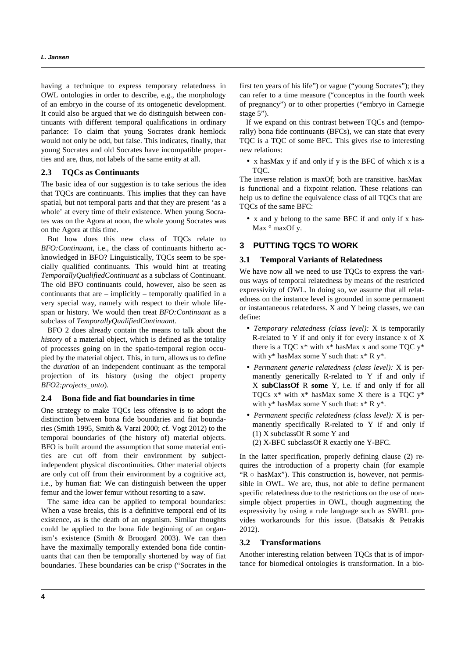having a technique to express temporary relatedness in OWL ontologies in order to describe, e.g., the morphology of an embryo in the course of its ontogenetic development. It could also be argued that we do distinguish between continuants with different temporal qualifications in ordinary parlance: To claim that young Socrates drank hemlock would not only be odd, but false. This indicates, finally, that young Socrates and old Socrates have incompatible properties and are, thus, not labels of the same entity at all.

#### **2.3 TQCs as Continuants**

The basic idea of our suggestion is to take serious the idea that TQCs are continuants. This implies that they can have spatial, but not temporal parts and that they are present 'as a whole' at every time of their existence. When young Socrates was on the Agora at noon, the whole young Socrates was on the Agora at this time.

But how does this new class of TQCs relate to *BFO:Continuant*, i.e., the class of continuants hitherto acknowledged in BFO? Linguistically, TQCs seem to be specially qualified continuants. This would hint at treating *TemporallyQualifiedContinuant* as a subclass of Continuant. The old BFO continuants could, however, also be seen as continuants that are – implicitly – temporally qualified in a very special way, namely with respect to their whole lifespan or history. We would then treat *BFO:Continuant* as a subclass of *TemporallyQualifiedContinuant.*

BFO 2 does already contain the means to talk about the *history* of a material object, which is defined as the totality of processes going on in the spatio-temporal region occupied by the material object. This, in turn, allows us to define the *duration* of an independent continuant as the temporal projection of its history (using the object property *BFO2:projects\_onto*).

#### **2.4 Bona fide and fiat boundaries in time**

One strategy to make TQCs less offensive is to adopt the distinction between bona fide boundaries and fiat boundaries (Smith 1995, Smith & Varzi 2000; cf. Vogt 2012) to the temporal boundaries of (the history of) material objects. BFO is built around the assumption that some material entities are cut off from their environment by subjectindependent physical discontinuities. Other material objects are only cut off from their environment by a cognitive act, i.e., by human fiat: We can distinguish between the upper femur and the lower femur without resorting to a saw.

The same idea can be applied to temporal boundaries: When a vase breaks, this is a definitive temporal end of its existence, as is the death of an organism. Similar thoughts could be applied to the bona fide beginning of an organism's existence (Smith & Broogard 2003). We can then have the maximally temporally extended bona fide continuants that can then be temporally shortened by way of fiat boundaries. These boundaries can be crisp ("Socrates in the

first ten years of his life") or vague ("young Socrates"); they can refer to a time measure ("conceptus in the fourth week of pregnancy") or to other properties ("embryo in Carnegie stage 5").

If we expand on this contrast between TQCs and (temporally) bona fide continuants (BFCs), we can state that every TQC is a TQC of some BFC. This gives rise to interesting new relations:

• x hasMax y if and only if y is the BFC of which x is a TQC.

The inverse relation is maxOf; both are transitive. hasMax is functional and a fixpoint relation. These relations can help us to define the equivalence class of all TQCs that are TQCs of the same BFC:

• x and y belong to the same BFC if and only if x has-Max  $\circ$  maxOf y.

#### **3 PUTTING TQCS TO WORK**

#### **3.1 Temporal Variants of Relatedness**

We have now all we need to use TQCs to express the various ways of temporal relatedness by means of the restricted expressivity of OWL. In doing so, we assume that all relatedness on the instance level is grounded in some permanent or instantaneous relatedness. X and Y being classes, we can define:

- *Temporary relatedness (class level):* X is temporarily R-related to Y if and only if for every instance x of X there is a TQC  $x^*$  with  $x^*$  hasMax x and some TQC  $y^*$ with  $y^*$  hasMax some Y such that:  $x^*$  R  $y^*$ .
- *Permanent generic relatedness (class level):* X is permanently generically R-related to Y if and only if X **subClassOf** R **some** Y, i.e. if and only if for all TOCs  $x^*$  with  $x^*$  hasMax some X there is a TOC  $y^*$ with  $y^*$  hasMax some Y such that:  $x^*$  R  $y^*$ .
- *Permanent specific relatedness (class level):* X is permanently specifically R-related to Y if and only if (1) X subclassOf R some Y and

(2) X-BFC subclassOf R exactly one Y-BFC.

In the latter specification, properly defining clause (2) requires the introduction of a property chain (for example " $R \circ$  has Max"). This construction is, however, not permissible in OWL. We are, thus, not able to define permanent specific relatedness due to the restrictions on the use of nonsimple object properties in OWL, though augmenting the expressivity by using a rule language such as SWRL provides workarounds for this issue. (Batsakis & Petrakis 2012).

#### **3.2 Transformations**

Another interesting relation between TQCs that is of importance for biomedical ontologies is transformation. In a bio